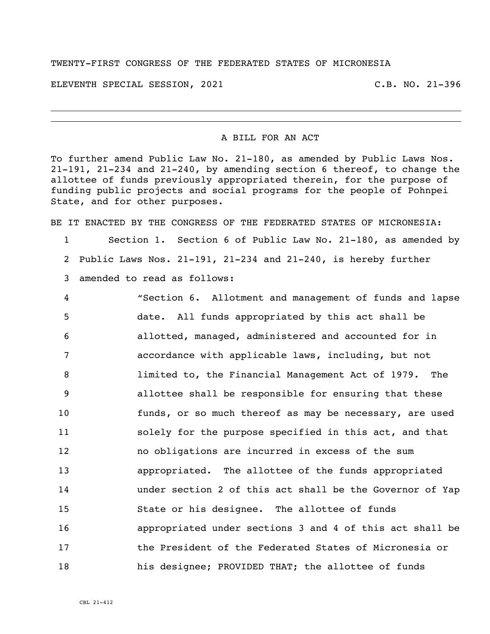## TWENTY-FIRST CONGRESS OF THE FEDERATED STATES OF MICRONESIA

ELEVENTH SPECIAL SESSION, 2021 C.B. NO. 21-396

## A BILL FOR AN ACT

To further amend Public Law No. 21-180, as amended by Public Laws Nos. 21-191, 21-234 and 21-240, by amending section 6 thereof, to change the allottee of funds previously appropriated therein, for the purpose of funding public projects and social programs for the people of Pohnpei State, and for other purposes.

BE IT ENACTED BY THE CONGRESS OF THE FEDERATED STATES OF MICRONESIA:

 Section 1. Section 6 of Public Law No. 21-180, as amended by Public Laws Nos. 21-191, 21-234 and 21-240, is hereby further amended to read as follows:

 "Section 6. Allotment and management of funds and lapse date. All funds appropriated by this act shall be allotted, managed, administered and accounted for in accordance with applicable laws, including, but not limited to, the Financial Management Act of 1979. The allottee shall be responsible for ensuring that these funds, or so much thereof as may be necessary, are used solely for the purpose specified in this act, and that no obligations are incurred in excess of the sum appropriated. The allottee of the funds appropriated under section 2 of this act shall be the Governor of Yap State or his designee. The allottee of funds appropriated under sections 3 and 4 of this act shall be the President of the Federated States of Micronesia or his designee; PROVIDED THAT; the allottee of funds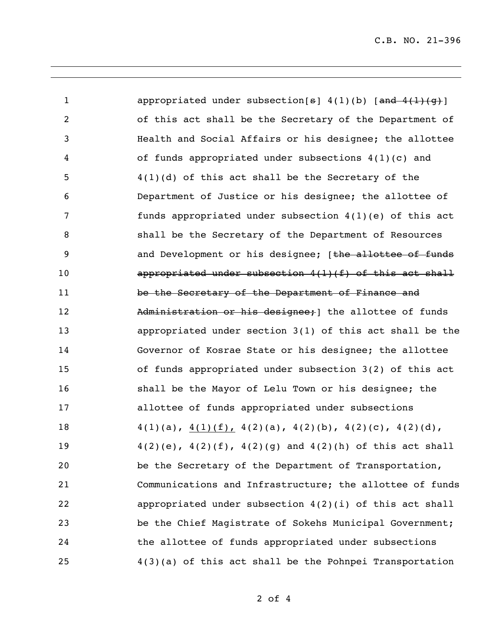C.B. NO. 21-396

1 appropriated under subsection[s] 4(1)(b) [and 4(1)(g)] of this act shall be the Secretary of the Department of Health and Social Affairs or his designee; the allottee of funds appropriated under subsections 4(1)(c) and 4(1)(d) of this act shall be the Secretary of the Department of Justice or his designee; the allottee of funds appropriated under subsection 4(1)(e) of this act shall be the Secretary of the Department of Resources **and Development or his designee;** [the allottee of funds appropriated under subsection 4(1)(f) of this act shall be the Secretary of the Department of Finance and 12 Administration or his designee; 1 the allottee of funds appropriated under section 3(1) of this act shall be the Governor of Kosrae State or his designee; the allottee of funds appropriated under subsection 3(2) of this act shall be the Mayor of Lelu Town or his designee; the allottee of funds appropriated under subsections  $4(1)(a)$ ,  $4(1)(f)$ ,  $4(2)(a)$ ,  $4(2)(b)$ ,  $4(2)(c)$ ,  $4(2)(d)$ , 4(2)(e), 4(2)(f), 4(2)(g) and 4(2)(h) of this act shall be the Secretary of the Department of Transportation, Communications and Infrastructure; the allottee of funds appropriated under subsection 4(2)(i) of this act shall be the Chief Magistrate of Sokehs Municipal Government; the allottee of funds appropriated under subsections 4(3)(a) of this act shall be the Pohnpei Transportation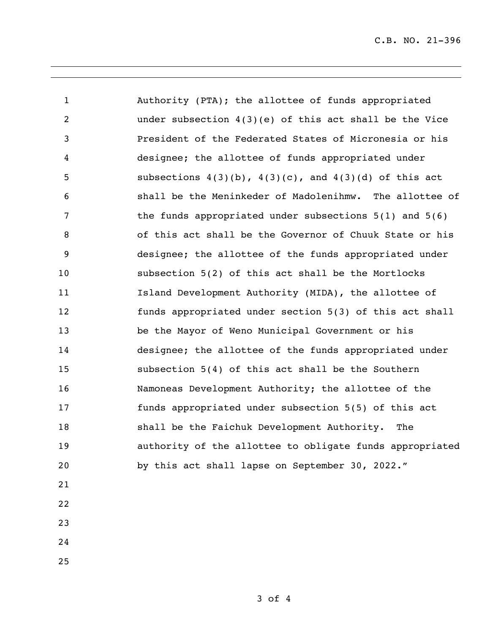| $\mathbf{1}$   | Authority (PTA); the allottee of funds appropriated           |
|----------------|---------------------------------------------------------------|
| $\overline{2}$ | under subsection $4(3)(e)$ of this act shall be the Vice      |
| 3              | President of the Federated States of Micronesia or his        |
| 4              | designee; the allottee of funds appropriated under            |
| 5              | subsections $4(3)(b)$ , $4(3)(c)$ , and $4(3)(d)$ of this act |
| 6              | shall be the Meninkeder of Madolenihmw. The allottee of       |
| 7              | the funds appropriated under subsections $5(1)$ and $5(6)$    |
| 8              | of this act shall be the Governor of Chuuk State or his       |
| 9              | designee; the allottee of the funds appropriated under        |
| 10             | subsection 5(2) of this act shall be the Mortlocks            |
| 11             | Island Development Authority (MIDA), the allottee of          |
| 12             | funds appropriated under section 5(3) of this act shall       |
| 13             | be the Mayor of Weno Municipal Government or his              |
| 14             | designee; the allottee of the funds appropriated under        |
| 15             | subsection 5(4) of this act shall be the Southern             |
| 16             | Namoneas Development Authority; the allottee of the           |
| 17             | funds appropriated under subsection 5(5) of this act          |
| 18             | shall be the Faichuk Development Authority. The               |
| 19             | authority of the allottee to obligate funds appropriated      |
| 20             | by this act shall lapse on September 30, 2022."               |
| 21             |                                                               |
| 22             |                                                               |
|                |                                                               |

- 
- 
-